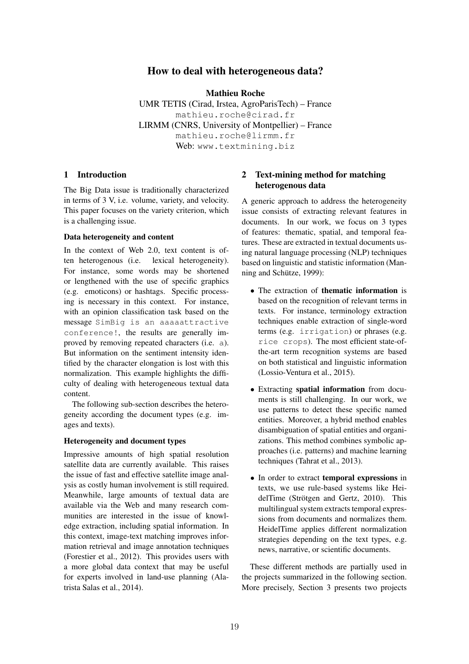# How to deal with heterogeneous data?

Mathieu Roche

UMR TETIS (Cirad, Irstea, AgroParisTech) – France mathieu.roche@cirad.fr LIRMM (CNRS, University of Montpellier) – France mathieu.roche@lirmm.fr Web: www.textmining.biz

### 1 Introduction

The Big Data issue is traditionally characterized in terms of 3 V, i.e. volume, variety, and velocity. This paper focuses on the variety criterion, which is a challenging issue.

## Data heterogeneity and content

In the context of Web 2.0, text content is often heterogenous (i.e. lexical heterogeneity). For instance, some words may be shortened or lengthened with the use of specific graphics (e.g. emoticons) or hashtags. Specific processing is necessary in this context. For instance, with an opinion classification task based on the message SimBig is an aaaaattractive conference!, the results are generally improved by removing repeated characters (i.e. a). But information on the sentiment intensity identified by the character elongation is lost with this normalization. This example highlights the difficulty of dealing with heterogeneous textual data content.

The following sub-section describes the heterogeneity according the document types (e.g. images and texts).

#### Heterogeneity and document types

Impressive amounts of high spatial resolution satellite data are currently available. This raises the issue of fast and effective satellite image analysis as costly human involvement is still required. Meanwhile, large amounts of textual data are available via the Web and many research communities are interested in the issue of knowledge extraction, including spatial information. In this context, image-text matching improves information retrieval and image annotation techniques (Forestier et al., 2012). This provides users with a more global data context that may be useful for experts involved in land-use planning (Alatrista Salas et al., 2014).

# 2 Text-mining method for matching heterogenous data

A generic approach to address the heterogeneity issue consists of extracting relevant features in documents. In our work, we focus on 3 types of features: thematic, spatial, and temporal features. These are extracted in textual documents using natural language processing (NLP) techniques based on linguistic and statistic information (Manning and Schütze, 1999):

- *•* The extraction of thematic information is based on the recognition of relevant terms in texts. For instance, terminology extraction techniques enable extraction of single-word terms (e.g. irrigation) or phrases (e.g. rice crops). The most efficient state-ofthe-art term recognition systems are based on both statistical and linguistic information (Lossio-Ventura et al., 2015).
- *•* Extracting spatial information from documents is still challenging. In our work, we use patterns to detect these specific named entities. Moreover, a hybrid method enables disambiguation of spatial entities and organizations. This method combines symbolic approaches (i.e. patterns) and machine learning techniques (Tahrat et al., 2013).
- In order to extract temporal expressions in texts, we use rule-based systems like HeidelTime (Strötgen and Gertz, 2010). This multilingual system extracts temporal expressions from documents and normalizes them. HeidelTime applies different normalization strategies depending on the text types, e.g. news, narrative, or scientific documents.

These different methods are partially used in the projects summarized in the following section. More precisely, Section 3 presents two projects